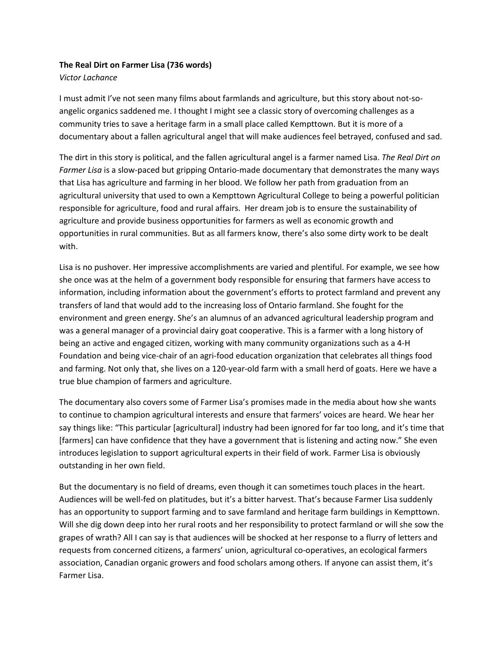## **The Real Dirt on Farmer Lisa (736 words)**

## *Victor Lachance*

I must admit I've not seen many films about farmlands and agriculture, but this story about not-soangelic organics saddened me. I thought I might see a classic story of overcoming challenges as a community tries to save a heritage farm in a small place called Kempttown. But it is more of a documentary about a fallen agricultural angel that will make audiences feel betrayed, confused and sad.

The dirt in this story is political, and the fallen agricultural angel is a farmer named Lisa. *The Real Dirt on Farmer Lisa* is a slow-paced but gripping Ontario-made documentary that demonstrates the many ways that Lisa has agriculture and farming in her blood. We follow her path from graduation from an agricultural university that used to own a Kempttown Agricultural College to being a powerful politician responsible for agriculture, food and rural affairs. Her dream job is to ensure the sustainability of agriculture and provide business opportunities for farmers as well as economic growth and opportunities in rural communities. But as all farmers know, there's also some dirty work to be dealt with.

Lisa is no pushover. Her impressive accomplishments are varied and plentiful. For example, we see how she once was at the helm of a government body responsible for ensuring that farmers have access to information, including information about the government's efforts to protect farmland and prevent any transfers of land that would add to the increasing loss of Ontario farmland. She fought for the environment and green energy. She's an alumnus of an advanced agricultural leadership program and was a general manager of a provincial dairy goat cooperative. This is a farmer with a long history of being an active and engaged citizen, working with many community organizations such as a 4-H Foundation and being vice-chair of an agri-food education organization that celebrates all things food and farming. Not only that, she lives on a 120-year-old farm with a small herd of goats. Here we have a true blue champion of farmers and agriculture.

The documentary also covers some of Farmer Lisa's promises made in the media about how she wants to continue to champion agricultural interests and ensure that farmers' voices are heard. We hear her say things like: "This particular [agricultural] industry had been ignored for far too long, and it's time that [farmers] can have confidence that they have a government that is listening and acting now." She even introduces legislation to support agricultural experts in their field of work. Farmer Lisa is obviously outstanding in her own field.

But the documentary is no field of dreams, even though it can sometimes touch places in the heart. Audiences will be well-fed on platitudes, but it's a bitter harvest. That's because Farmer Lisa suddenly has an opportunity to support farming and to save farmland and heritage farm buildings in Kempttown. Will she dig down deep into her rural roots and her responsibility to protect farmland or will she sow the grapes of wrath? All I can say is that audiences will be shocked at her response to a flurry of letters and requests from concerned citizens, a farmers' union, agricultural co-operatives, an ecological farmers association, Canadian organic growers and food scholars among others. If anyone can assist them, it's Farmer Lisa.